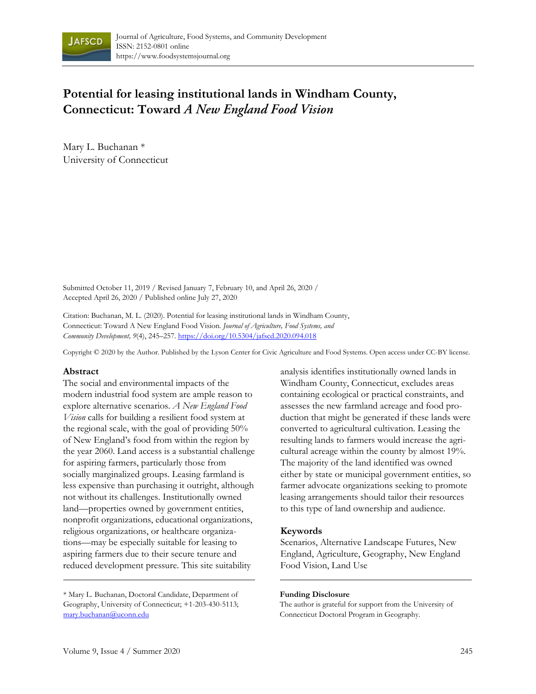

# **Potential for leasing institutional lands in Windham County, Connecticut: Toward** *A New England Food Vision*

Mary L. Buchanan \* University of Connecticut

Submitted October 11, 2019 / Revised January 7, February 10, and April 26, 2020 / Accepted April 26, 2020 / Published online July 27, 2020

Citation: Buchanan, M. L. (2020). Potential for leasing institutional lands in Windham County, Connecticut: Toward A New England Food Vision. *Journal of Agriculture, Food Systems, and Community Development, 9*(4), 245–257. https://doi.org/10.5304/jafscd.2020.094.018

Copyright © 2020 by the Author. Published by the Lyson Center for Civic Agriculture and Food Systems. Open access under CC-BY license.

#### **Abstract**

The social and environmental impacts of the modern industrial food system are ample reason to explore alternative scenarios. *A New England Food Vision* calls for building a resilient food system at the regional scale, with the goal of providing 50% of New England's food from within the region by the year 2060. Land access is a substantial challenge for aspiring farmers, particularly those from socially marginalized groups. Leasing farmland is less expensive than purchasing it outright, although not without its challenges. Institutionally owned land—properties owned by government entities, nonprofit organizations, educational organizations, religious organizations, or healthcare organizations—may be especially suitable for leasing to aspiring farmers due to their secure tenure and reduced development pressure. This site suitability

analysis identifies institutionally owned lands in Windham County, Connecticut, excludes areas containing ecological or practical constraints, and assesses the new farmland acreage and food production that might be generated if these lands were converted to agricultural cultivation. Leasing the resulting lands to farmers would increase the agricultural acreage within the county by almost 19%. The majority of the land identified was owned either by state or municipal government entities, so farmer advocate organizations seeking to promote leasing arrangements should tailor their resources to this type of land ownership and audience.

#### **Keywords**

Scenarios, Alternative Landscape Futures, New England, Agriculture, Geography, New England Food Vision, Land Use

#### **Funding Disclosure**

The author is grateful for support from the University of Connecticut Doctoral Program in Geography.

<sup>\*</sup> Mary L. Buchanan, Doctoral Candidate, Department of Geography, University of Connecticut; +1-203-430-5113; mary.buchanan@uconn.edu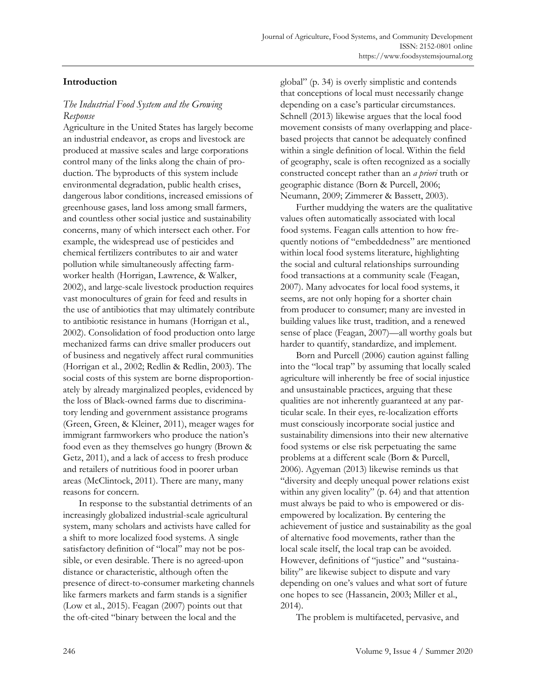# **Introduction**

# *The Industrial Food System and the Growing Response*

Agriculture in the United States has largely become an industrial endeavor, as crops and livestock are produced at massive scales and large corporations control many of the links along the chain of production. The byproducts of this system include environmental degradation, public health crises, dangerous labor conditions, increased emissions of greenhouse gases, land loss among small farmers, and countless other social justice and sustainability concerns, many of which intersect each other. For example, the widespread use of pesticides and chemical fertilizers contributes to air and water pollution while simultaneously affecting farmworker health (Horrigan, Lawrence, & Walker, 2002), and large-scale livestock production requires vast monocultures of grain for feed and results in the use of antibiotics that may ultimately contribute to antibiotic resistance in humans (Horrigan et al., 2002). Consolidation of food production onto large mechanized farms can drive smaller producers out of business and negatively affect rural communities (Horrigan et al., 2002; Redlin & Redlin, 2003). The social costs of this system are borne disproportionately by already marginalized peoples, evidenced by the loss of Black-owned farms due to discriminatory lending and government assistance programs (Green, Green, & Kleiner, 2011), meager wages for immigrant farmworkers who produce the nation's food even as they themselves go hungry (Brown & Getz, 2011), and a lack of access to fresh produce and retailers of nutritious food in poorer urban areas (McClintock, 2011). There are many, many reasons for concern.

 In response to the substantial detriments of an increasingly globalized industrial-scale agricultural system, many scholars and activists have called for a shift to more localized food systems. A single satisfactory definition of "local" may not be possible, or even desirable. There is no agreed-upon distance or characteristic, although often the presence of direct-to-consumer marketing channels like farmers markets and farm stands is a signifier (Low et al., 2015). Feagan (2007) points out that the oft-cited "binary between the local and the

global" (p. 34) is overly simplistic and contends that conceptions of local must necessarily change depending on a case's particular circumstances. Schnell (2013) likewise argues that the local food movement consists of many overlapping and placebased projects that cannot be adequately confined within a single definition of local. Within the field of geography, scale is often recognized as a socially constructed concept rather than an *a priori* truth or geographic distance (Born & Purcell, 2006; Neumann, 2009; Zimmerer & Bassett, 2003).

 Further muddying the waters are the qualitative values often automatically associated with local food systems. Feagan calls attention to how frequently notions of "embeddedness" are mentioned within local food systems literature, highlighting the social and cultural relationships surrounding food transactions at a community scale (Feagan, 2007). Many advocates for local food systems, it seems, are not only hoping for a shorter chain from producer to consumer; many are invested in building values like trust, tradition, and a renewed sense of place (Feagan, 2007)—all worthy goals but harder to quantify, standardize, and implement.

 Born and Purcell (2006) caution against falling into the "local trap" by assuming that locally scaled agriculture will inherently be free of social injustice and unsustainable practices, arguing that these qualities are not inherently guaranteed at any particular scale. In their eyes, re-localization efforts must consciously incorporate social justice and sustainability dimensions into their new alternative food systems or else risk perpetuating the same problems at a different scale (Born & Purcell, 2006). Agyeman (2013) likewise reminds us that "diversity and deeply unequal power relations exist within any given locality" (p. 64) and that attention must always be paid to who is empowered or disempowered by localization. By centering the achievement of justice and sustainability as the goal of alternative food movements, rather than the local scale itself, the local trap can be avoided. However, definitions of "justice" and "sustainability" are likewise subject to dispute and vary depending on one's values and what sort of future one hopes to see (Hassanein, 2003; Miller et al., 2014).

The problem is multifaceted, pervasive, and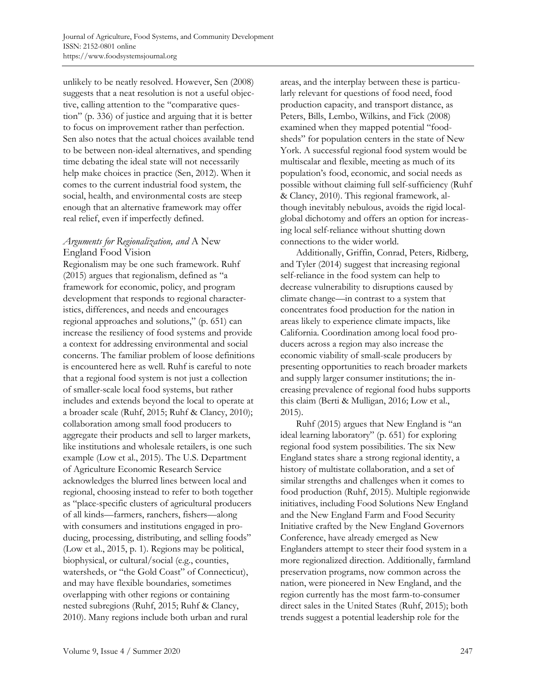unlikely to be neatly resolved. However, Sen (2008) suggests that a neat resolution is not a useful objective, calling attention to the "comparative question" (p. 336) of justice and arguing that it is better to focus on improvement rather than perfection. Sen also notes that the actual choices available tend to be between non-ideal alternatives, and spending time debating the ideal state will not necessarily help make choices in practice (Sen, 2012). When it comes to the current industrial food system, the social, health, and environmental costs are steep enough that an alternative framework may offer real relief, even if imperfectly defined.

### *Arguments for Regionalization, and* A New England Food Vision

Regionalism may be one such framework. Ruhf (2015) argues that regionalism, defined as "a framework for economic, policy, and program development that responds to regional characteristics, differences, and needs and encourages regional approaches and solutions," (p. 651) can increase the resiliency of food systems and provide a context for addressing environmental and social concerns. The familiar problem of loose definitions is encountered here as well. Ruhf is careful to note that a regional food system is not just a collection of smaller-scale local food systems, but rather includes and extends beyond the local to operate at a broader scale (Ruhf, 2015; Ruhf & Clancy, 2010); collaboration among small food producers to aggregate their products and sell to larger markets, like institutions and wholesale retailers, is one such example (Low et al., 2015). The U.S. Department of Agriculture Economic Research Service acknowledges the blurred lines between local and regional, choosing instead to refer to both together as "place-specific clusters of agricultural producers of all kinds—farmers, ranchers, fishers—along with consumers and institutions engaged in producing, processing, distributing, and selling foods" (Low et al., 2015, p. 1). Regions may be political, biophysical, or cultural/social (e.g., counties, watersheds, or "the Gold Coast" of Connecticut), and may have flexible boundaries, sometimes overlapping with other regions or containing nested subregions (Ruhf, 2015; Ruhf & Clancy, 2010). Many regions include both urban and rural

areas, and the interplay between these is particularly relevant for questions of food need, food production capacity, and transport distance, as Peters, Bills, Lembo, Wilkins, and Fick (2008) examined when they mapped potential "foodsheds" for population centers in the state of New York. A successful regional food system would be multiscalar and flexible, meeting as much of its population's food, economic, and social needs as possible without claiming full self-sufficiency (Ruhf & Clancy, 2010). This regional framework, although inevitably nebulous, avoids the rigid localglobal dichotomy and offers an option for increasing local self-reliance without shutting down connections to the wider world.

 Additionally, Griffin, Conrad, Peters, Ridberg, and Tyler (2014) suggest that increasing regional self-reliance in the food system can help to decrease vulnerability to disruptions caused by climate change—in contrast to a system that concentrates food production for the nation in areas likely to experience climate impacts, like California. Coordination among local food producers across a region may also increase the economic viability of small-scale producers by presenting opportunities to reach broader markets and supply larger consumer institutions; the increasing prevalence of regional food hubs supports this claim (Berti & Mulligan, 2016; Low et al., 2015).

 Ruhf (2015) argues that New England is "an ideal learning laboratory" (p. 651) for exploring regional food system possibilities. The six New England states share a strong regional identity, a history of multistate collaboration, and a set of similar strengths and challenges when it comes to food production (Ruhf, 2015). Multiple regionwide initiatives, including Food Solutions New England and the New England Farm and Food Security Initiative crafted by the New England Governors Conference, have already emerged as New Englanders attempt to steer their food system in a more regionalized direction. Additionally, farmland preservation programs, now common across the nation, were pioneered in New England, and the region currently has the most farm-to-consumer direct sales in the United States (Ruhf, 2015); both trends suggest a potential leadership role for the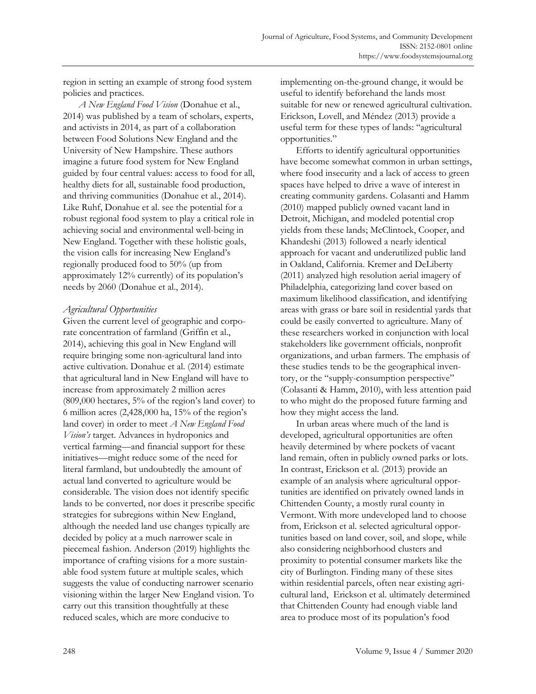region in setting an example of strong food system policies and practices.

*A New England Food Vision* (Donahue et al., 2014) was published by a team of scholars, experts, and activists in 2014, as part of a collaboration between Food Solutions New England and the University of New Hampshire. These authors imagine a future food system for New England guided by four central values: access to food for all, healthy diets for all, sustainable food production, and thriving communities (Donahue et al., 2014). Like Ruhf, Donahue et al. see the potential for a robust regional food system to play a critical role in achieving social and environmental well-being in New England. Together with these holistic goals, the vision calls for increasing New England's regionally produced food to 50% (up from approximately 12% currently) of its population's needs by 2060 (Donahue et al., 2014).

### *Agricultural Opportunities*

Given the current level of geographic and corporate concentration of farmland (Griffin et al., 2014), achieving this goal in New England will require bringing some non-agricultural land into active cultivation. Donahue et al. (2014) estimate that agricultural land in New England will have to increase from approximately 2 million acres (809,000 hectares, 5% of the region's land cover) to 6 million acres (2,428,000 ha, 15% of the region's land cover) in order to meet *A New England Food Vision's* target. Advances in hydroponics and vertical farming—and financial support for these initiatives—might reduce some of the need for literal farmland, but undoubtedly the amount of actual land converted to agriculture would be considerable. The vision does not identify specific lands to be converted, nor does it prescribe specific strategies for subregions within New England, although the needed land use changes typically are decided by policy at a much narrower scale in piecemeal fashion. Anderson (2019) highlights the importance of crafting visions for a more sustainable food system future at multiple scales, which suggests the value of conducting narrower scenario visioning within the larger New England vision. To carry out this transition thoughtfully at these reduced scales, which are more conducive to

implementing on-the-ground change, it would be useful to identify beforehand the lands most suitable for new or renewed agricultural cultivation. Erickson, Lovell, and Méndez (2013) provide a useful term for these types of lands: "agricultural opportunities."

 Efforts to identify agricultural opportunities have become somewhat common in urban settings, where food insecurity and a lack of access to green spaces have helped to drive a wave of interest in creating community gardens. Colasanti and Hamm (2010) mapped publicly owned vacant land in Detroit, Michigan, and modeled potential crop yields from these lands; McClintock, Cooper, and Khandeshi (2013) followed a nearly identical approach for vacant and underutilized public land in Oakland, California. Kremer and DeLiberty (2011) analyzed high resolution aerial imagery of Philadelphia, categorizing land cover based on maximum likelihood classification, and identifying areas with grass or bare soil in residential yards that could be easily converted to agriculture. Many of these researchers worked in conjunction with local stakeholders like government officials, nonprofit organizations, and urban farmers. The emphasis of these studies tends to be the geographical inventory, or the "supply-consumption perspective" (Colasanti & Hamm, 2010), with less attention paid to who might do the proposed future farming and how they might access the land.

 In urban areas where much of the land is developed, agricultural opportunities are often heavily determined by where pockets of vacant land remain, often in publicly owned parks or lots. In contrast, Erickson et al. (2013) provide an example of an analysis where agricultural opportunities are identified on privately owned lands in Chittenden County, a mostly rural county in Vermont. With more undeveloped land to choose from, Erickson et al. selected agricultural opportunities based on land cover, soil, and slope, while also considering neighborhood clusters and proximity to potential consumer markets like the city of Burlington. Finding many of these sites within residential parcels, often near existing agricultural land, Erickson et al. ultimately determined that Chittenden County had enough viable land area to produce most of its population's food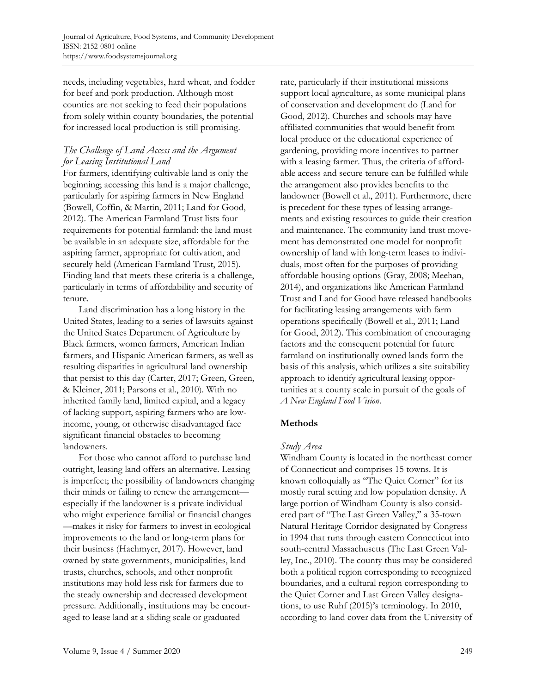needs, including vegetables, hard wheat, and fodder for beef and pork production. Although most counties are not seeking to feed their populations from solely within county boundaries, the potential for increased local production is still promising.

# *The Challenge of Land Access and the Argument for Leasing Institutional Land*

For farmers, identifying cultivable land is only the beginning; accessing this land is a major challenge, particularly for aspiring farmers in New England (Bowell, Coffin, & Martin, 2011; Land for Good, 2012). The American Farmland Trust lists four requirements for potential farmland: the land must be available in an adequate size, affordable for the aspiring farmer, appropriate for cultivation, and securely held (American Farmland Trust, 2015). Finding land that meets these criteria is a challenge, particularly in terms of affordability and security of tenure.

 Land discrimination has a long history in the United States, leading to a series of lawsuits against the United States Department of Agriculture by Black farmers, women farmers, American Indian farmers, and Hispanic American farmers, as well as resulting disparities in agricultural land ownership that persist to this day (Carter, 2017; Green, Green, & Kleiner, 2011; Parsons et al., 2010). With no inherited family land, limited capital, and a legacy of lacking support, aspiring farmers who are lowincome, young, or otherwise disadvantaged face significant financial obstacles to becoming landowners.

 For those who cannot afford to purchase land outright, leasing land offers an alternative. Leasing is imperfect; the possibility of landowners changing their minds or failing to renew the arrangement especially if the landowner is a private individual who might experience familial or financial changes —makes it risky for farmers to invest in ecological improvements to the land or long-term plans for their business (Hachmyer, 2017). However, land owned by state governments, municipalities, land trusts, churches, schools, and other nonprofit institutions may hold less risk for farmers due to the steady ownership and decreased development pressure. Additionally, institutions may be encouraged to lease land at a sliding scale or graduated

rate, particularly if their institutional missions support local agriculture, as some municipal plans of conservation and development do (Land for Good, 2012). Churches and schools may have affiliated communities that would benefit from local produce or the educational experience of gardening, providing more incentives to partner with a leasing farmer. Thus, the criteria of affordable access and secure tenure can be fulfilled while the arrangement also provides benefits to the landowner (Bowell et al., 2011). Furthermore, there is precedent for these types of leasing arrangements and existing resources to guide their creation and maintenance. The community land trust movement has demonstrated one model for nonprofit ownership of land with long-term leases to individuals, most often for the purposes of providing affordable housing options (Gray, 2008; Meehan, 2014), and organizations like American Farmland Trust and Land for Good have released handbooks for facilitating leasing arrangements with farm operations specifically (Bowell et al., 2011; Land for Good, 2012). This combination of encouraging factors and the consequent potential for future farmland on institutionally owned lands form the basis of this analysis, which utilizes a site suitability approach to identify agricultural leasing opportunities at a county scale in pursuit of the goals of *A New England Food Vision*.

# **Methods**

### *Study Area*

Windham County is located in the northeast corner of Connecticut and comprises 15 towns. It is known colloquially as "The Quiet Corner" for its mostly rural setting and low population density. A large portion of Windham County is also considered part of "The Last Green Valley," a 35-town Natural Heritage Corridor designated by Congress in 1994 that runs through eastern Connecticut into south-central Massachusetts (The Last Green Valley, Inc., 2010). The county thus may be considered both a political region corresponding to recognized boundaries, and a cultural region corresponding to the Quiet Corner and Last Green Valley designations, to use Ruhf (2015)'s terminology. In 2010, according to land cover data from the University of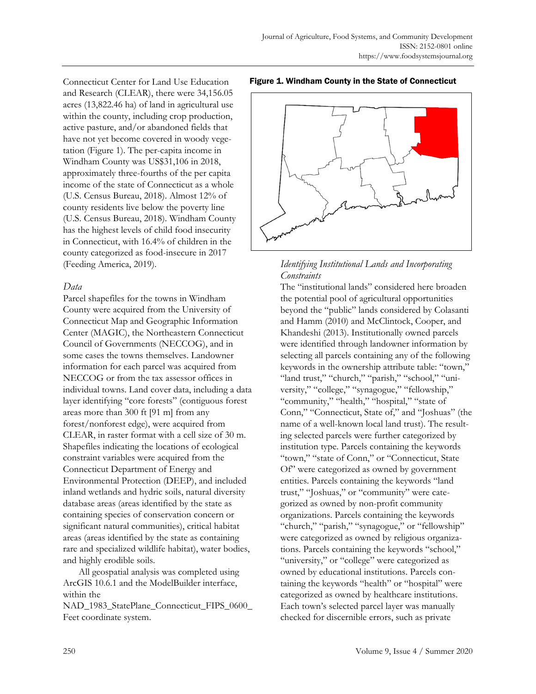Connecticut Center for Land Use Education and Research (CLEAR), there were 34,156.05 acres (13,822.46 ha) of land in agricultural use within the county, including crop production, active pasture, and/or abandoned fields that have not yet become covered in woody vegetation (Figure 1). The per-capita income in Windham County was US\$31,106 in 2018, approximately three-fourths of the per capita income of the state of Connecticut as a whole (U.S. Census Bureau, 2018). Almost 12% of county residents live below the poverty line (U.S. Census Bureau, 2018). Windham County has the highest levels of child food insecurity in Connecticut, with 16.4% of children in the county categorized as food-insecure in 2017 (Feeding America, 2019).

# *Data*

Parcel shapefiles for the towns in Windham County were acquired from the University of Connecticut Map and Geographic Information Center (MAGIC), the Northeastern Connecticut Council of Governments (NECCOG), and in some cases the towns themselves. Landowner information for each parcel was acquired from NECCOG or from the tax assessor offices in individual towns. Land cover data, including a data layer identifying "core forests" (contiguous forest areas more than 300 ft [91 m] from any forest/nonforest edge), were acquired from CLEAR, in raster format with a cell size of 30 m. Shapefiles indicating the locations of ecological constraint variables were acquired from the Connecticut Department of Energy and Environmental Protection (DEEP), and included inland wetlands and hydric soils, natural diversity database areas (areas identified by the state as containing species of conservation concern or significant natural communities), critical habitat areas (areas identified by the state as containing rare and specialized wildlife habitat), water bodies, and highly erodible soils.

 All geospatial analysis was completed using ArcGIS 10.6.1 and the ModelBuilder interface, within the

NAD\_1983\_StatePlane\_Connecticut\_FIPS\_0600\_ Feet coordinate system.

#### Figure 1. Windham County in the State of Connecticut



### *Identifying Institutional Lands and Incorporating Constraints*

The "institutional lands" considered here broaden the potential pool of agricultural opportunities beyond the "public" lands considered by Colasanti and Hamm (2010) and McClintock, Cooper, and Khandeshi (2013). Institutionally owned parcels were identified through landowner information by selecting all parcels containing any of the following keywords in the ownership attribute table: "town," "land trust," "church," "parish," "school," "university," "college," "synagogue," "fellowship," "community," "health," "hospital," "state of Conn," "Connecticut, State of," and "Joshuas" (the name of a well-known local land trust). The resulting selected parcels were further categorized by institution type. Parcels containing the keywords "town," "state of Conn," or "Connecticut, State Of" were categorized as owned by government entities. Parcels containing the keywords "land trust," "Joshuas," or "community" were categorized as owned by non-profit community organizations. Parcels containing the keywords "church," "parish," "synagogue," or "fellowship" were categorized as owned by religious organizations. Parcels containing the keywords "school," "university," or "college" were categorized as owned by educational institutions. Parcels containing the keywords "health" or "hospital" were categorized as owned by healthcare institutions. Each town's selected parcel layer was manually checked for discernible errors, such as private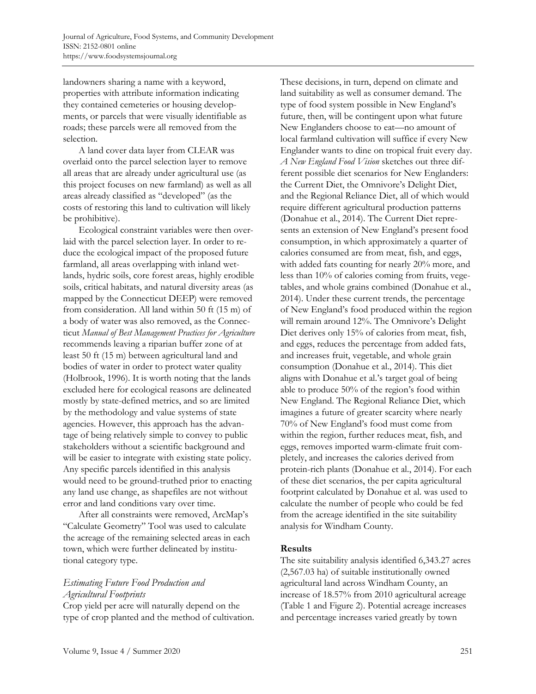landowners sharing a name with a keyword, properties with attribute information indicating they contained cemeteries or housing developments, or parcels that were visually identifiable as roads; these parcels were all removed from the selection.

 A land cover data layer from CLEAR was overlaid onto the parcel selection layer to remove all areas that are already under agricultural use (as this project focuses on new farmland) as well as all areas already classified as "developed" (as the costs of restoring this land to cultivation will likely be prohibitive).

 Ecological constraint variables were then overlaid with the parcel selection layer. In order to reduce the ecological impact of the proposed future farmland, all areas overlapping with inland wetlands, hydric soils, core forest areas, highly erodible soils, critical habitats, and natural diversity areas (as mapped by the Connecticut DEEP) were removed from consideration. All land within 50 ft (15 m) of a body of water was also removed, as the Connecticut *Manual of Best Management Practices for Agriculture*  recommends leaving a riparian buffer zone of at least 50 ft (15 m) between agricultural land and bodies of water in order to protect water quality (Holbrook, 1996). It is worth noting that the lands excluded here for ecological reasons are delineated mostly by state-defined metrics, and so are limited by the methodology and value systems of state agencies. However, this approach has the advantage of being relatively simple to convey to public stakeholders without a scientific background and will be easier to integrate with existing state policy. Any specific parcels identified in this analysis would need to be ground-truthed prior to enacting any land use change, as shapefiles are not without error and land conditions vary over time.

 After all constraints were removed, ArcMap's "Calculate Geometry" Tool was used to calculate the acreage of the remaining selected areas in each town, which were further delineated by institutional category type.

# *Estimating Future Food Production and Agricultural Footprints*

Crop yield per acre will naturally depend on the type of crop planted and the method of cultivation. These decisions, in turn, depend on climate and land suitability as well as consumer demand. The type of food system possible in New England's future, then, will be contingent upon what future New Englanders choose to eat—no amount of local farmland cultivation will suffice if every New Englander wants to dine on tropical fruit every day. *A New England Food Vision* sketches out three different possible diet scenarios for New Englanders: the Current Diet, the Omnivore's Delight Diet, and the Regional Reliance Diet, all of which would require different agricultural production patterns (Donahue et al., 2014). The Current Diet represents an extension of New England's present food consumption, in which approximately a quarter of calories consumed are from meat, fish, and eggs, with added fats counting for nearly 20% more, and less than 10% of calories coming from fruits, vegetables, and whole grains combined (Donahue et al., 2014). Under these current trends, the percentage of New England's food produced within the region will remain around 12%. The Omnivore's Delight Diet derives only 15% of calories from meat, fish, and eggs, reduces the percentage from added fats, and increases fruit, vegetable, and whole grain consumption (Donahue et al., 2014). This diet aligns with Donahue et al.'s target goal of being able to produce 50% of the region's food within New England. The Regional Reliance Diet, which imagines a future of greater scarcity where nearly 70% of New England's food must come from within the region, further reduces meat, fish, and eggs, removes imported warm-climate fruit completely, and increases the calories derived from protein-rich plants (Donahue et al., 2014). For each of these diet scenarios, the per capita agricultural footprint calculated by Donahue et al. was used to calculate the number of people who could be fed from the acreage identified in the site suitability analysis for Windham County.

### **Results**

The site suitability analysis identified 6,343.27 acres (2,567.03 ha) of suitable institutionally owned agricultural land across Windham County, an increase of 18.57% from 2010 agricultural acreage (Table 1 and Figure 2). Potential acreage increases and percentage increases varied greatly by town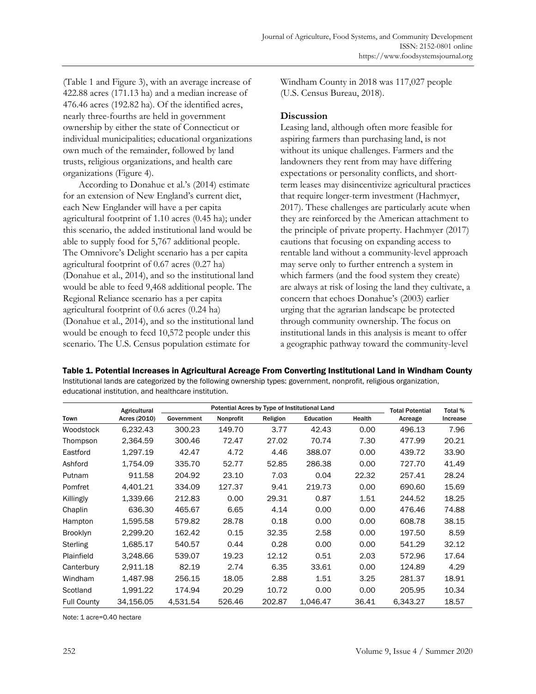(Table 1 and Figure 3), with an average increase of 422.88 acres (171.13 ha) and a median increase of 476.46 acres (192.82 ha). Of the identified acres, nearly three-fourths are held in government ownership by either the state of Connecticut or individual municipalities; educational organizations own much of the remainder, followed by land trusts, religious organizations, and health care organizations (Figure 4).

 According to Donahue et al.'s (2014) estimate for an extension of New England's current diet, each New Englander will have a per capita agricultural footprint of 1.10 acres (0.45 ha); under this scenario, the added institutional land would be able to supply food for 5,767 additional people. The Omnivore's Delight scenario has a per capita agricultural footprint of 0.67 acres (0.27 ha) (Donahue et al., 2014), and so the institutional land would be able to feed 9,468 additional people. The Regional Reliance scenario has a per capita agricultural footprint of 0.6 acres (0.24 ha) (Donahue et al., 2014), and so the institutional land would be enough to feed 10,572 people under this scenario. The U.S. Census population estimate for

Windham County in 2018 was 117,027 people (U.S. Census Bureau, 2018).

### **Discussion**

Leasing land, although often more feasible for aspiring farmers than purchasing land, is not without its unique challenges. Farmers and the landowners they rent from may have differing expectations or personality conflicts, and shortterm leases may disincentivize agricultural practices that require longer-term investment (Hachmyer, 2017). These challenges are particularly acute when they are reinforced by the American attachment to the principle of private property. Hachmyer (2017) cautions that focusing on expanding access to rentable land without a community-level approach may serve only to further entrench a system in which farmers (and the food system they create) are always at risk of losing the land they cultivate, a concern that echoes Donahue's (2003) earlier urging that the agrarian landscape be protected through community ownership. The focus on institutional lands in this analysis is meant to offer a geographic pathway toward the community-level

Table 1. Potential Increases in Agricultural Acreage From Converting Institutional Land in Windham County Institutional lands are categorized by the following ownership types: government, nonprofit, religious organization, educational institution, and healthcare institution.

| Town               | Agricultural<br>Acres (2010) | Potential Acres by Type of Institutional Land |           |          |           |        | <b>Total Potential</b> | Total %  |
|--------------------|------------------------------|-----------------------------------------------|-----------|----------|-----------|--------|------------------------|----------|
|                    |                              | Government                                    | Nonprofit | Religion | Education | Health | Acreage                | Increase |
| Woodstock          | 6,232.43                     | 300.23                                        | 149.70    | 3.77     | 42.43     | 0.00   | 496.13                 | 7.96     |
| Thompson           | 2,364.59                     | 300.46                                        | 72.47     | 27.02    | 70.74     | 7.30   | 477.99                 | 20.21    |
| Eastford           | 1,297.19                     | 42.47                                         | 4.72      | 4.46     | 388.07    | 0.00   | 439.72                 | 33.90    |
| Ashford            | 1.754.09                     | 335.70                                        | 52.77     | 52.85    | 286.38    | 0.00   | 727.70                 | 41.49    |
| Putnam             | 911.58                       | 204.92                                        | 23.10     | 7.03     | 0.04      | 22.32  | 257.41                 | 28.24    |
| Pomfret            | 4.401.21                     | 334.09                                        | 127.37    | 9.41     | 219.73    | 0.00   | 690.60                 | 15.69    |
| Killingly          | 1,339.66                     | 212.83                                        | 0.00      | 29.31    | 0.87      | 1.51   | 244.52                 | 18.25    |
| Chaplin            | 636.30                       | 465.67                                        | 6.65      | 4.14     | 0.00      | 0.00   | 476.46                 | 74.88    |
| Hampton            | 1,595.58                     | 579.82                                        | 28.78     | 0.18     | 0.00      | 0.00   | 608.78                 | 38.15    |
| <b>Brooklyn</b>    | 2,299.20                     | 162.42                                        | 0.15      | 32.35    | 2.58      | 0.00   | 197.50                 | 8.59     |
| Sterling           | 1,685.17                     | 540.57                                        | 0.44      | 0.28     | 0.00      | 0.00   | 541.29                 | 32.12    |
| Plainfield         | 3,248.66                     | 539.07                                        | 19.23     | 12.12    | 0.51      | 2.03   | 572.96                 | 17.64    |
| Canterbury         | 2.911.18                     | 82.19                                         | 2.74      | 6.35     | 33.61     | 0.00   | 124.89                 | 4.29     |
| Windham            | 1.487.98                     | 256.15                                        | 18.05     | 2.88     | 1.51      | 3.25   | 281.37                 | 18.91    |
| Scotland           | 1,991.22                     | 174.94                                        | 20.29     | 10.72    | 0.00      | 0.00   | 205.95                 | 10.34    |
| <b>Full County</b> | 34,156.05                    | 4,531.54                                      | 526.46    | 202.87   | 1,046.47  | 36.41  | 6,343.27               | 18.57    |

Note: 1 acre=0.40 hectare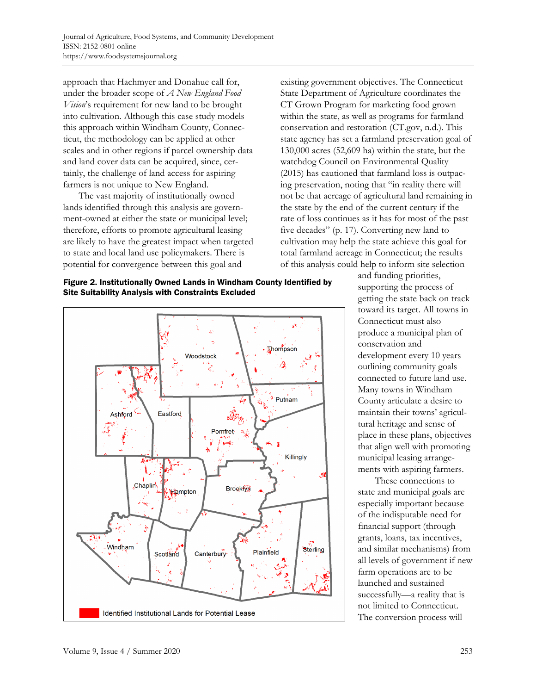approach that Hachmyer and Donahue call for, under the broader scope of *A New England Food Vision*'s requirement for new land to be brought into cultivation. Although this case study models this approach within Windham County, Connecticut, the methodology can be applied at other scales and in other regions if parcel ownership data and land cover data can be acquired, since, certainly, the challenge of land access for aspiring farmers is not unique to New England.

 The vast majority of institutionally owned lands identified through this analysis are government-owned at either the state or municipal level; therefore, efforts to promote agricultural leasing are likely to have the greatest impact when targeted to state and local land use policymakers. There is potential for convergence between this goal and





existing government objectives. The Connecticut State Department of Agriculture coordinates the CT Grown Program for marketing food grown within the state, as well as programs for farmland conservation and restoration (CT.gov, n.d.). This state agency has set a farmland preservation goal of 130,000 acres (52,609 ha) within the state, but the watchdog Council on Environmental Quality (2015) has cautioned that farmland loss is outpacing preservation, noting that "in reality there will not be that acreage of agricultural land remaining in the state by the end of the current century if the rate of loss continues as it has for most of the past five decades" (p. 17). Converting new land to cultivation may help the state achieve this goal for total farmland acreage in Connecticut; the results of this analysis could help to inform site selection

> and funding priorities, supporting the process of getting the state back on track toward its target. All towns in Connecticut must also produce a municipal plan of conservation and development every 10 years outlining community goals connected to future land use. Many towns in Windham County articulate a desire to maintain their towns' agricultural heritage and sense of place in these plans, objectives that align well with promoting municipal leasing arrangements with aspiring farmers.

> These connections to state and municipal goals are especially important because of the indisputable need for financial support (through grants, loans, tax incentives, and similar mechanisms) from all levels of government if new farm operations are to be launched and sustained successfully—a reality that is not limited to Connecticut. The conversion process will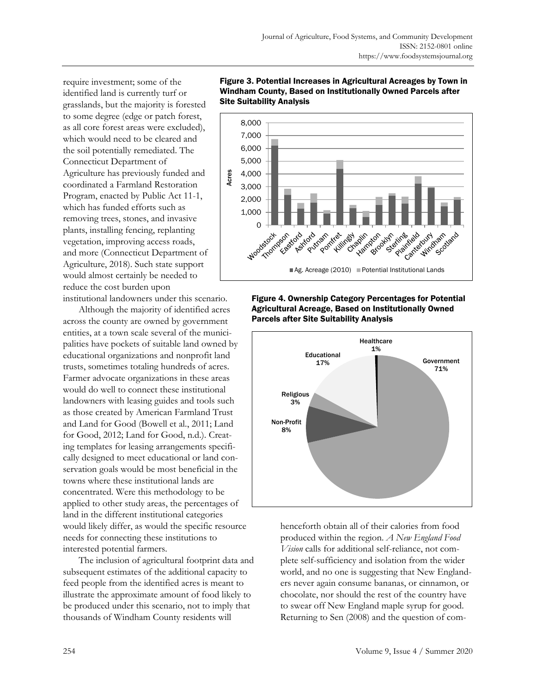require investment; some of the identified land is currently turf or grasslands, but the majority is forested to some degree (edge or patch forest, as all core forest areas were excluded), which would need to be cleared and the soil potentially remediated. The Connecticut Department of Agriculture has previously funded and coordinated a Farmland Restoration Program, enacted by Public Act 11-1, which has funded efforts such as removing trees, stones, and invasive plants, installing fencing, replanting vegetation, improving access roads, and more (Connecticut Department of Agriculture, 2018). Such state support would almost certainly be needed to reduce the cost burden upon

institutional landowners under this scenario.

 Although the majority of identified acres across the county are owned by government entities, at a town scale several of the municipalities have pockets of suitable land owned by educational organizations and nonprofit land trusts, sometimes totaling hundreds of acres. Farmer advocate organizations in these areas would do well to connect these institutional landowners with leasing guides and tools such as those created by American Farmland Trust and Land for Good (Bowell et al., 2011; Land for Good, 2012; Land for Good, n.d.). Creating templates for leasing arrangements specifically designed to meet educational or land conservation goals would be most beneficial in the towns where these institutional lands are concentrated. Were this methodology to be applied to other study areas, the percentages of land in the different institutional categories would likely differ, as would the specific resource needs for connecting these institutions to interested potential farmers.

 The inclusion of agricultural footprint data and subsequent estimates of the additional capacity to feed people from the identified acres is meant to illustrate the approximate amount of food likely to be produced under this scenario, not to imply that thousands of Windham County residents will



#### Figure 3. Potential Increases in Agricultural Acreages by Town in Windham County, Based on Institutionally Owned Parcels after Site Suitability Analysis

Figure 4. Ownership Category Percentages for Potential Agricultural Acreage, Based on Institutionally Owned Parcels after Site Suitability Analysis



henceforth obtain all of their calories from food produced within the region. *A New England Food Vision* calls for additional self-reliance, not complete self-sufficiency and isolation from the wider world, and no one is suggesting that New Englanders never again consume bananas, or cinnamon, or chocolate, nor should the rest of the country have to swear off New England maple syrup for good. Returning to Sen (2008) and the question of com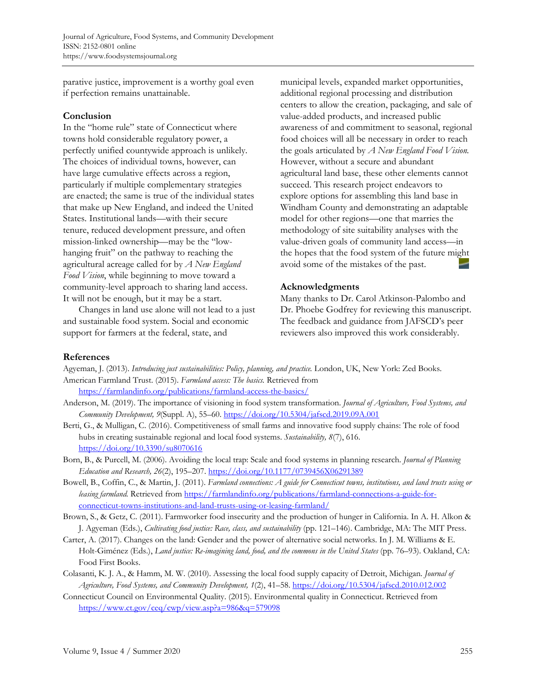parative justice, improvement is a worthy goal even if perfection remains unattainable.

#### **Conclusion**

In the "home rule" state of Connecticut where towns hold considerable regulatory power, a perfectly unified countywide approach is unlikely. The choices of individual towns, however, can have large cumulative effects across a region, particularly if multiple complementary strategies are enacted; the same is true of the individual states that make up New England, and indeed the United States. Institutional lands—with their secure tenure, reduced development pressure, and often mission-linked ownership—may be the "lowhanging fruit" on the pathway to reaching the agricultural acreage called for by *A New England Food Vision*, while beginning to move toward a community-level approach to sharing land access. It will not be enough, but it may be a start.

 Changes in land use alone will not lead to a just and sustainable food system. Social and economic support for farmers at the federal, state, and

municipal levels, expanded market opportunities, additional regional processing and distribution centers to allow the creation, packaging, and sale of value-added products, and increased public awareness of and commitment to seasonal, regional food choices will all be necessary in order to reach the goals articulated by *A New England Food Vision.* However, without a secure and abundant agricultural land base, these other elements cannot succeed. This research project endeavors to explore options for assembling this land base in Windham County and demonstrating an adaptable model for other regions—one that marries the methodology of site suitability analyses with the value-driven goals of community land access—in the hopes that the food system of the future might avoid some of the mistakes of the past.

# **Acknowledgments**

Many thanks to Dr. Carol Atkinson-Palombo and Dr. Phoebe Godfrey for reviewing this manuscript. The feedback and guidance from JAFSCD's peer reviewers also improved this work considerably.

### **References**

Agyeman, J. (2013). *Introducing just sustainabilities: Policy, planning, and practice.* London, UK, New York: Zed Books. American Farmland Trust. (2015). *Farmland access: The basics.* Retrieved from

https://farmlandinfo.org/publications/farmland-access-the-basics/

- Anderson, M. (2019). The importance of visioning in food system transformation. *Journal of Agriculture, Food Systems, and Community Development, 9*(Suppl. A), 55–60. https://doi.org/10.5304/jafscd.2019.09A.001
- Berti, G., & Mulligan, C. (2016). Competitiveness of small farms and innovative food supply chains: The role of food hubs in creating sustainable regional and local food systems. *Sustainability, 8*(7), 616. https://doi.org/10.3390/su8070616
- Born, B., & Purcell, M. (2006). Avoiding the local trap: Scale and food systems in planning research. *Journal of Planning Education and Research, 26*(2), 195–207. https://doi.org/10.1177/0739456X06291389
- Bowell, B., Coffin, C., & Martin, J. (2011). *Farmland connections: A guide for Connecticut towns, institutions, and land trusts using or leasing farmland.* Retrieved from https://farmlandinfo.org/publications/farmland-connections-a-guide-forconnecticut-towns-institutions-and-land-trusts-using-or-leasing-farmland/
- Brown, S., & Getz, C. (2011). Farmworker food insecurity and the production of hunger in California. In A. H. Alkon & J. Agyeman (Eds.), *Cultivating food justice: Race, class, and sustainability* (pp. 121–146). Cambridge, MA: The MIT Press.
- Carter, A. (2017). Changes on the land: Gender and the power of alternative social networks. In J. M. Williams & E. Holt-Giménez (Eds.), *Land justice: Re-imagining land, food, and the commons in the United States* (pp. 76–93). Oakland, CA: Food First Books.
- Colasanti, K. J. A., & Hamm, M. W. (2010). Assessing the local food supply capacity of Detroit, Michigan. *Journal of Agriculture, Food Systems, and Community Development, 1*(2), 41–58. https://doi.org/10.5304/jafscd.2010.012.002
- Connecticut Council on Environmental Quality. (2015). Environmental quality in Connecticut. Retrieved from https://www.ct.gov/ceq/cwp/view.asp?a=986&q=579098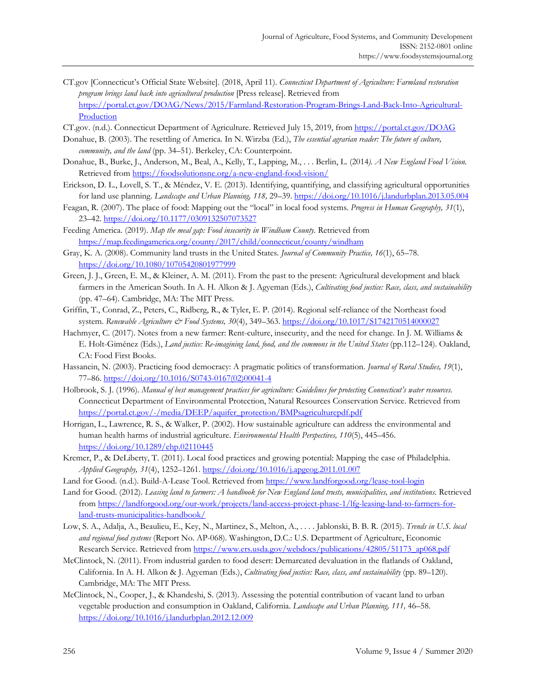- CT.gov [Connecticut's Official State Website]. (2018, April 11). *Connecticut Department of Agriculture: Farmland restoration program brings land back into agricultural production* [Press release]. Retrieved from [https://portal.ct.gov/DOAG/News/2015/Farmland-Restoration-Program-Brings-Land-Back-Into-Agricultural-](https://portal.ct.gov/DOAG/News/2015/Farmland-Restoration-Program-Brings-Land-Back-Into-Agricultural-Production)**Production**
- CT.gov. (n.d.). Connecticut Department of Agriculture. Retrieved July 15, 2019, from https://portal.ct.gov/DOAG
- Donahue, B. (2003). The resettling of America. In N. Wirzba (Ed.), *The essential agrarian reader: The future of culture, community, and the land* (pp. 34–51). Berkeley, CA: Counterpoint.
- Donahue, B., Burke, J., Anderson, M., Beal, A., Kelly, T., Lapping, M., . . . Berlin, L. (2014*). A New England Food Vision.* Retrieved from https://foodsolutionsne.org/a-new-england-food-vision/
- Erickson, D. L., Lovell, S. T., & Méndez, V. E. (2013). Identifying, quantifying, and classifying agricultural opportunities for land use planning. *Landscape and Urban Planning, 118,* 29–39. https://doi.org/10.1016/j.landurbplan.2013.05.004
- Feagan, R. (2007). The place of food: Mapping out the "local" in local food systems. *Progress in Human Geography, 31*(1), 23–42. https://doi.org/10.1177/0309132507073527
- Feeding America. (2019). *Map the meal gap: Food insecurity in Windham County.* Retrieved from https://map.feedingamerica.org/county/2017/child/connecticut/county/windham
- Gray, K. A. (2008). Community land trusts in the United States. *Journal of Community Practice, 16*(1), 65–78. https://doi.org/10.1080/10705420801977999
- Green, J. J., Green, E. M., & Kleiner, A. M. (2011). From the past to the present: Agricultural development and black farmers in the American South. In A. H. Alkon & J. Agyeman (Eds.), *Cultivating food justice: Race, class, and sustainability* (pp. 47–64). Cambridge, MA: The MIT Press.
- Griffin, T., Conrad, Z., Peters, C., Ridberg, R., & Tyler, E. P. (2014). Regional self-reliance of the Northeast food system. *Renewable Agriculture & Food Systems, 30*(4), 349–363. https://doi.org/10.1017/S1742170514000027
- Hachmyer, C. (2017). Notes from a new farmer: Rent-culture, insecurity, and the need for change. In J. M. Williams & E. Holt-Giménez (Eds.), *Land justice: Re-imagining land, food, and the commons in the United States* (pp.112–124). Oakland, CA: Food First Books.
- Hassanein, N. (2003). Practicing food democracy: A pragmatic politics of transformation. *Journal of Rural Studies, 19*(1), 77–86. [https://doi.org/10.1016/S0743-0167\(02\)00041-4](https://doi.org/10.1016/S0743-0167(02)00041-4)
- Holbrook, S. J. (1996). *Manual of best management practices for agriculture: Guidelines for protecting Connecticut's water resources.* Connecticut Department of Environmental Protection, Natural Resources Conservation Service. Retrieved from https://portal.ct.gov/-/media/DEEP/aquifer\_protection/BMPsagriculturepdf.pdf
- Horrigan, L., Lawrence, R. S., & Walker, P. (2002). How sustainable agriculture can address the environmental and human health harms of industrial agriculture. *Environmental Health Perspectives, 110*(5), 445–456. https://doi.org/10.1289/ehp.02110445
- Kremer, P., & DeLiberty, T. (2011). Local food practices and growing potential: Mapping the case of Philadelphia. *Applied Geography, 31*(4), 1252–1261. https://doi.org/10.1016/j.apgeog.2011.01.007
- Land for Good. (n.d.). Build-A-Lease Tool. Retrieved from https://www.landforgood.org/lease-tool-login
- Land for Good. (2012). *Leasing land to farmers: A handbook for New England land trusts, municipalities, and institutions.* Retrieved [from https://landforgood.org/our-work/projects/land-access-project-phase-1/lfg-leasing-land-to-farmers-for](https://landforgood.org/our-work/projects/land-access-project-phase-1/lfg-leasing-land-to-farmers-for-land-trusts-municipalities-handbook/)land-trusts-municipalities-handbook/
- Low, S. A., Adalja, A., Beaulieu, E., Key, N., Martinez, S., Melton, A., . . . . Jablonski, B. B. R. (2015). *Trends in U.S. local and regional food systems* (Report No. AP-068). Washington, D.C.: U.S. Department of Agriculture, Economic Research Service. Retrieved from https://www.ers.usda.gov/webdocs/publications/42805/51173\_ap068.pdf
- McClintock, N. (2011). From industrial garden to food desert: Demarcated devaluation in the flatlands of Oakland, California. In A. H. Alkon & J. Agyeman (Eds.), *Cultivating food justice: Race, class, and sustainability* (pp. 89–120). Cambridge, MA: The MIT Press.
- McClintock, N., Cooper, J., & Khandeshi, S. (2013). Assessing the potential contribution of vacant land to urban vegetable production and consumption in Oakland, California. *Landscape and Urban Planning, 111,* 46–58. https://doi.org/10.1016/j.landurbplan.2012.12.009